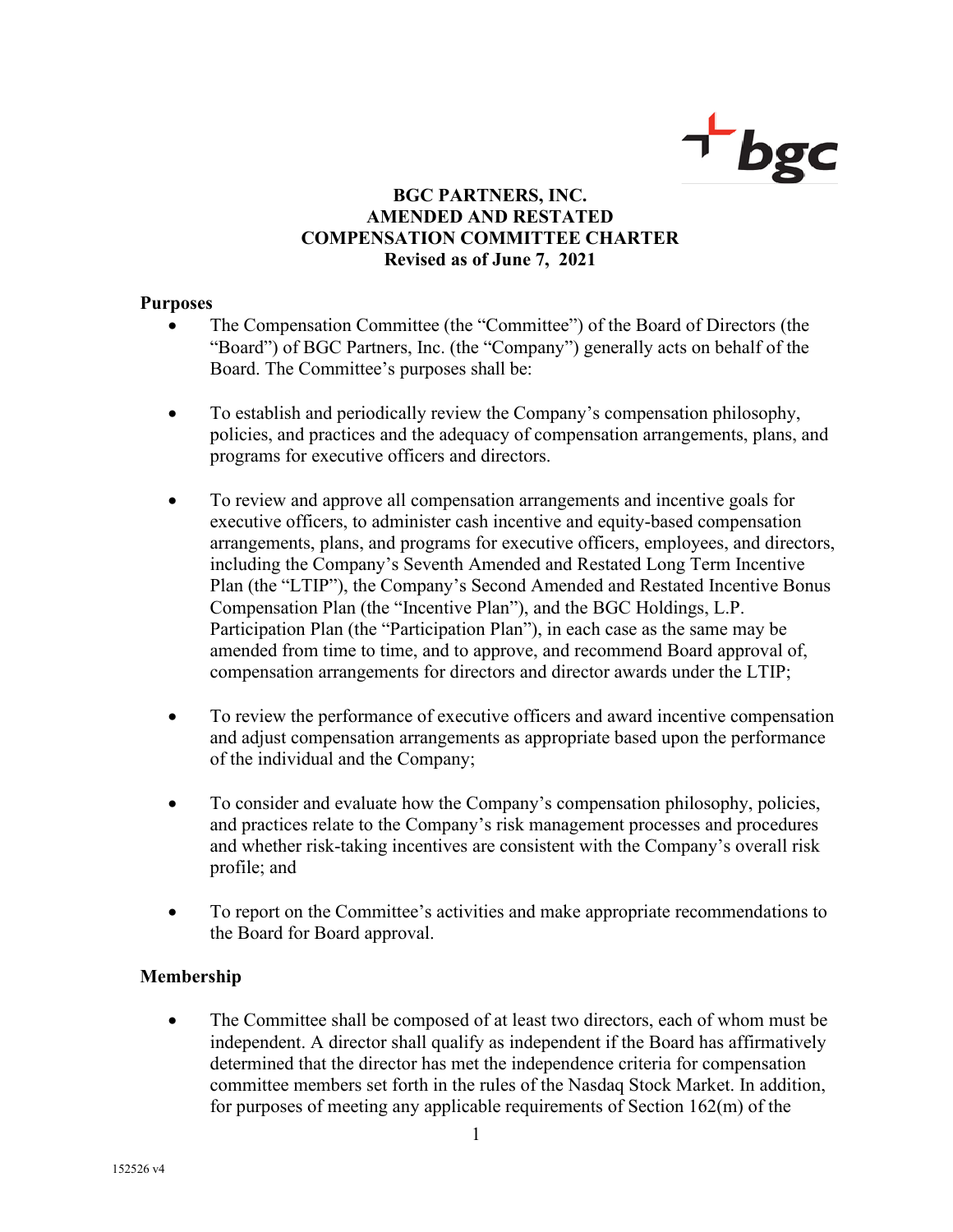

# **BGC PARTNERS, INC. AMENDED AND RESTATED COMPENSATION COMMITTEE CHARTER Revised as of June 7, 2021**

#### **Purposes**

- The Compensation Committee (the "Committee") of the Board of Directors (the "Board") of BGC Partners, Inc. (the "Company") generally acts on behalf of the Board. The Committee's purposes shall be:
- To establish and periodically review the Company's compensation philosophy, policies, and practices and the adequacy of compensation arrangements, plans, and programs for executive officers and directors.
- To review and approve all compensation arrangements and incentive goals for executive officers, to administer cash incentive and equity-based compensation arrangements, plans, and programs for executive officers, employees, and directors, including the Company's Seventh Amended and Restated Long Term Incentive Plan (the "LTIP"), the Company's Second Amended and Restated Incentive Bonus Compensation Plan (the "Incentive Plan"), and the BGC Holdings, L.P. Participation Plan (the "Participation Plan"), in each case as the same may be amended from time to time, and to approve, and recommend Board approval of, compensation arrangements for directors and director awards under the LTIP;
- To review the performance of executive officers and award incentive compensation and adjust compensation arrangements as appropriate based upon the performance of the individual and the Company;
- To consider and evaluate how the Company's compensation philosophy, policies, and practices relate to the Company's risk management processes and procedures and whether risk-taking incentives are consistent with the Company's overall risk profile; and
- To report on the Committee's activities and make appropriate recommendations to the Board for Board approval.

### **Membership**

• The Committee shall be composed of at least two directors, each of whom must be independent. A director shall qualify as independent if the Board has affirmatively determined that the director has met the independence criteria for compensation committee members set forth in the rules of the Nasdaq Stock Market. In addition, for purposes of meeting any applicable requirements of Section 162(m) of the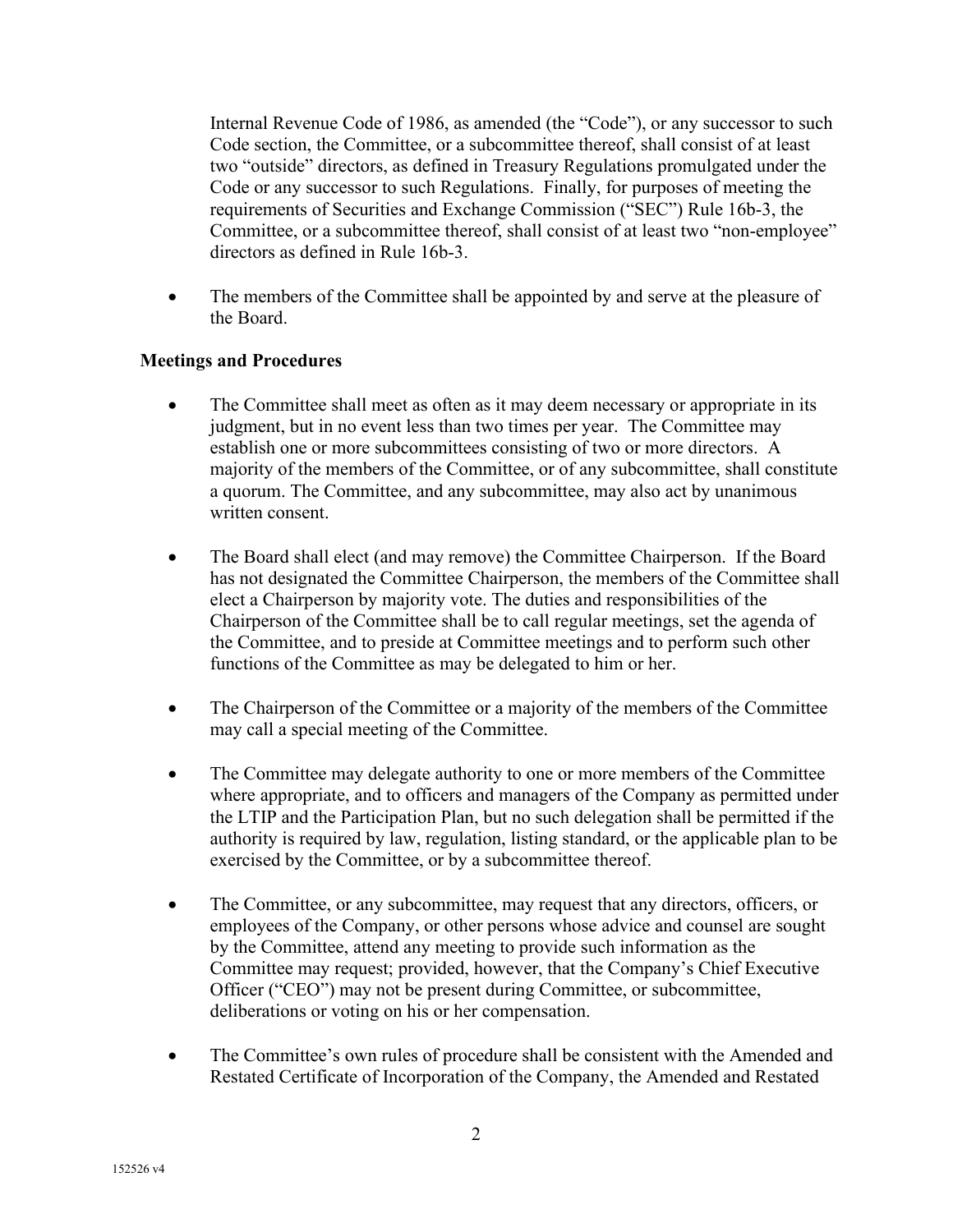Internal Revenue Code of 1986, as amended (the "Code"), or any successor to such Code section, the Committee, or a subcommittee thereof, shall consist of at least two "outside" directors, as defined in Treasury Regulations promulgated under the Code or any successor to such Regulations. Finally, for purposes of meeting the requirements of Securities and Exchange Commission ("SEC") Rule 16b-3, the Committee, or a subcommittee thereof, shall consist of at least two "non-employee" directors as defined in Rule 16b-3.

• The members of the Committee shall be appointed by and serve at the pleasure of the Board.

# **Meetings and Procedures**

- The Committee shall meet as often as it may deem necessary or appropriate in its judgment, but in no event less than two times per year. The Committee may establish one or more subcommittees consisting of two or more directors. A majority of the members of the Committee, or of any subcommittee, shall constitute a quorum. The Committee, and any subcommittee, may also act by unanimous written consent.
- The Board shall elect (and may remove) the Committee Chairperson. If the Board has not designated the Committee Chairperson, the members of the Committee shall elect a Chairperson by majority vote. The duties and responsibilities of the Chairperson of the Committee shall be to call regular meetings, set the agenda of the Committee, and to preside at Committee meetings and to perform such other functions of the Committee as may be delegated to him or her.
- The Chairperson of the Committee or a majority of the members of the Committee may call a special meeting of the Committee.
- The Committee may delegate authority to one or more members of the Committee where appropriate, and to officers and managers of the Company as permitted under the LTIP and the Participation Plan, but no such delegation shall be permitted if the authority is required by law, regulation, listing standard, or the applicable plan to be exercised by the Committee, or by a subcommittee thereof.
- The Committee, or any subcommittee, may request that any directors, officers, or employees of the Company, or other persons whose advice and counsel are sought by the Committee, attend any meeting to provide such information as the Committee may request; provided, however, that the Company's Chief Executive Officer ("CEO") may not be present during Committee, or subcommittee, deliberations or voting on his or her compensation.
- The Committee's own rules of procedure shall be consistent with the Amended and Restated Certificate of Incorporation of the Company, the Amended and Restated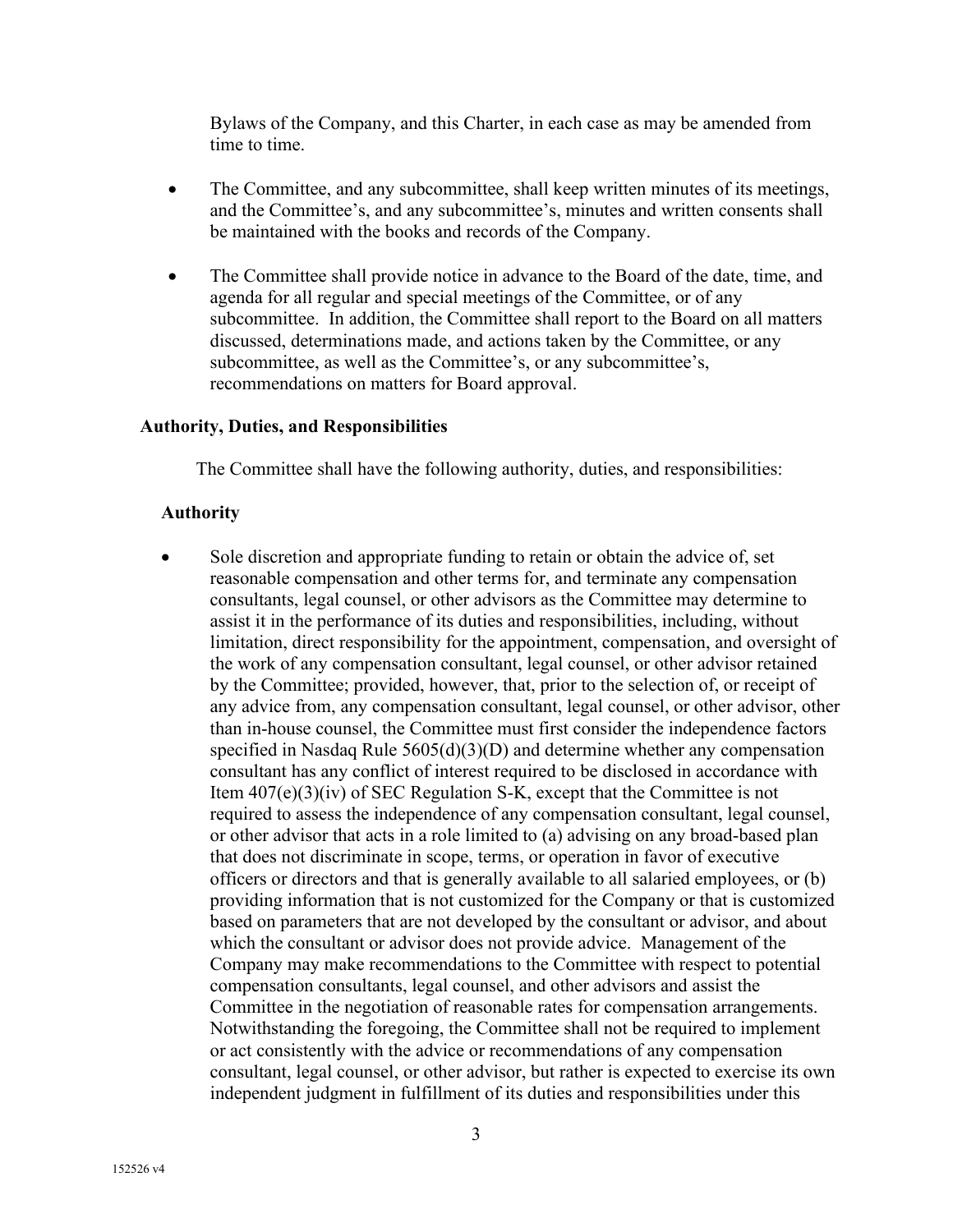Bylaws of the Company, and this Charter, in each case as may be amended from time to time.

- The Committee, and any subcommittee, shall keep written minutes of its meetings, and the Committee's, and any subcommittee's, minutes and written consents shall be maintained with the books and records of the Company.
- The Committee shall provide notice in advance to the Board of the date, time, and agenda for all regular and special meetings of the Committee, or of any subcommittee. In addition, the Committee shall report to the Board on all matters discussed, determinations made, and actions taken by the Committee, or any subcommittee, as well as the Committee's, or any subcommittee's, recommendations on matters for Board approval.

#### **Authority, Duties, and Responsibilities**

The Committee shall have the following authority, duties, and responsibilities:

#### **Authority**

Sole discretion and appropriate funding to retain or obtain the advice of, set reasonable compensation and other terms for, and terminate any compensation consultants, legal counsel, or other advisors as the Committee may determine to assist it in the performance of its duties and responsibilities, including, without limitation, direct responsibility for the appointment, compensation, and oversight of the work of any compensation consultant, legal counsel, or other advisor retained by the Committee; provided, however, that, prior to the selection of, or receipt of any advice from, any compensation consultant, legal counsel, or other advisor, other than in-house counsel, the Committee must first consider the independence factors specified in Nasdaq Rule 5605(d)(3)(D) and determine whether any compensation consultant has any conflict of interest required to be disclosed in accordance with Item 407(e)(3)(iv) of SEC Regulation S-K, except that the Committee is not required to assess the independence of any compensation consultant, legal counsel, or other advisor that acts in a role limited to (a) advising on any broad-based plan that does not discriminate in scope, terms, or operation in favor of executive officers or directors and that is generally available to all salaried employees, or (b) providing information that is not customized for the Company or that is customized based on parameters that are not developed by the consultant or advisor, and about which the consultant or advisor does not provide advice. Management of the Company may make recommendations to the Committee with respect to potential compensation consultants, legal counsel, and other advisors and assist the Committee in the negotiation of reasonable rates for compensation arrangements. Notwithstanding the foregoing, the Committee shall not be required to implement or act consistently with the advice or recommendations of any compensation consultant, legal counsel, or other advisor, but rather is expected to exercise its own independent judgment in fulfillment of its duties and responsibilities under this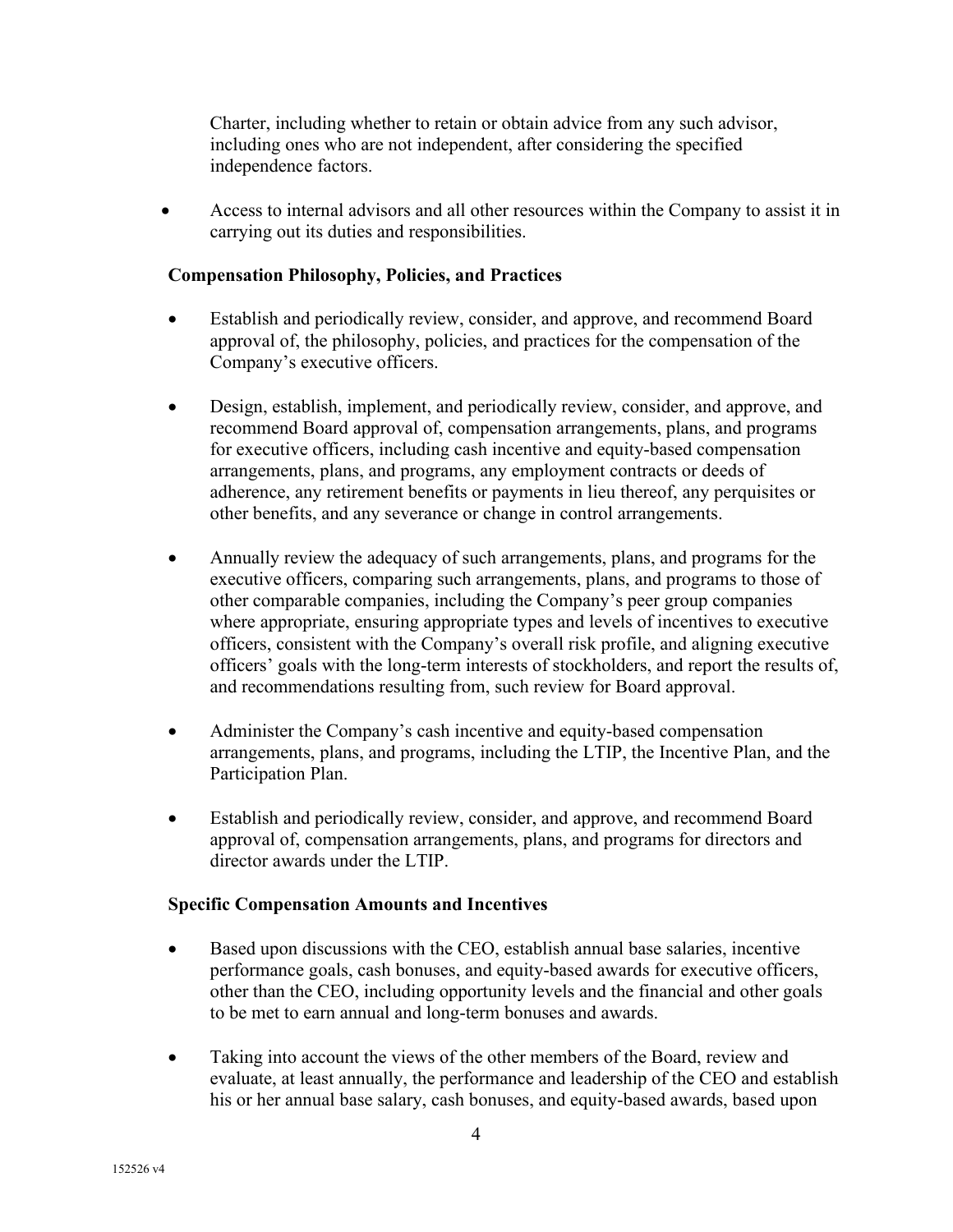Charter, including whether to retain or obtain advice from any such advisor, including ones who are not independent, after considering the specified independence factors.

• Access to internal advisors and all other resources within the Company to assist it in carrying out its duties and responsibilities.

### **Compensation Philosophy, Policies, and Practices**

- Establish and periodically review, consider, and approve, and recommend Board approval of, the philosophy, policies, and practices for the compensation of the Company's executive officers.
- Design, establish, implement, and periodically review, consider, and approve, and recommend Board approval of, compensation arrangements, plans, and programs for executive officers, including cash incentive and equity-based compensation arrangements, plans, and programs, any employment contracts or deeds of adherence, any retirement benefits or payments in lieu thereof, any perquisites or other benefits, and any severance or change in control arrangements.
- Annually review the adequacy of such arrangements, plans, and programs for the executive officers, comparing such arrangements, plans, and programs to those of other comparable companies, including the Company's peer group companies where appropriate, ensuring appropriate types and levels of incentives to executive officers, consistent with the Company's overall risk profile, and aligning executive officers' goals with the long-term interests of stockholders, and report the results of, and recommendations resulting from, such review for Board approval.
- Administer the Company's cash incentive and equity-based compensation arrangements, plans, and programs, including the LTIP, the Incentive Plan, and the Participation Plan.
- Establish and periodically review, consider, and approve, and recommend Board approval of, compensation arrangements, plans, and programs for directors and director awards under the LTIP.

### **Specific Compensation Amounts and Incentives**

- Based upon discussions with the CEO, establish annual base salaries, incentive performance goals, cash bonuses, and equity-based awards for executive officers, other than the CEO, including opportunity levels and the financial and other goals to be met to earn annual and long-term bonuses and awards.
- Taking into account the views of the other members of the Board, review and evaluate, at least annually, the performance and leadership of the CEO and establish his or her annual base salary, cash bonuses, and equity-based awards, based upon